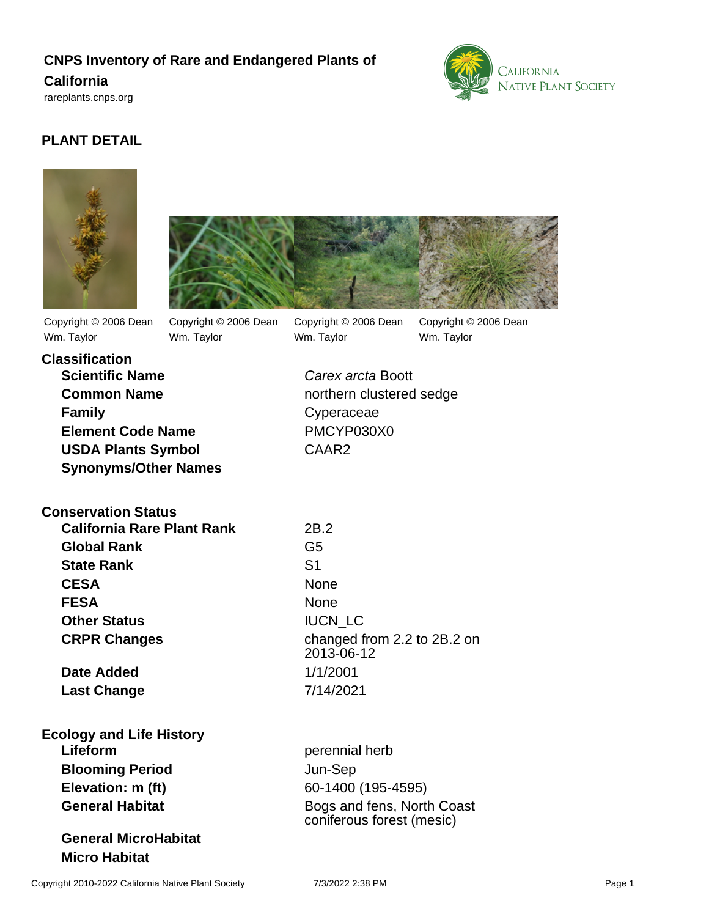## **CNPS Inventory of Rare and Endangered Plants of**

#### **California**

<rareplants.cnps.org>



## **PLANT DETAIL**





Copyright © 2006 Dean Wm. Taylor

Copyright © 2006 Dean Wm. Taylor

Copyright © 2006 Dean Wm. Taylor

Copyright © 2006 Dean Wm. Taylor

**Classification Scientific Name** Carex arcta Boott **Family** Cyperaceae **Element Code Name** PMCYP030X0 **USDA Plants Symbol** CAAR2 **Synonyms/Other Names**

**Common Name** northern clustered sedge

| <b>Conservation Status</b> |  |
|----------------------------|--|
|----------------------------|--|

**California Rare Plant Rank** 2B.2 **Global Rank** G5 **State Rank** S1 CESA None **FESA** None **Other Status IUCN LC** 

**Date Added** 1/1/2001 **Last Change** 7/14/2021

**Ecology and Life History Lifeform** perennial herb **Blooming Period** Jun-Sep **Elevation: m (ft)** 60-1400 (195-4595)

**General MicroHabitat Micro Habitat**

**CRPR Changes** changed from 2.2 to 2B.2 on 2013-06-12

**General Habitat** Bogs and fens, North Coast coniferous forest (mesic)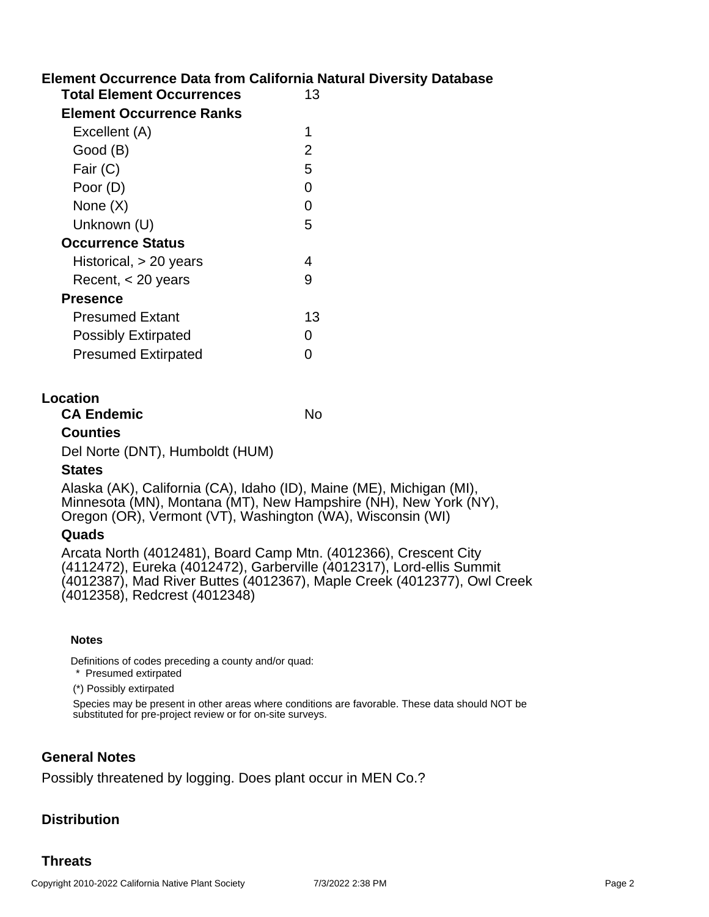### **Element Occurrence Data from California Natural Diversity Database**

| <b>Total Element Occurrences</b> | 13 |
|----------------------------------|----|
| Element Occurrence Ranks         |    |
| Excellent (A)                    | 1  |
| Good (B)                         | 2  |
| Fair (C)                         | 5  |
| Poor (D)                         | 0  |
| None $(X)$                       | O  |
| Unknown (U)                      | 5  |
| <b>Occurrence Status</b>         |    |
| Historical, > 20 years           | 4  |
| Recent, < 20 years               | g  |
| <b>Presence</b>                  |    |
| <b>Presumed Extant</b>           | 13 |
| <b>Possibly Extirpated</b>       | O  |
| <b>Presumed Extirpated</b>       | ∩  |

#### **Location**

| <b>CA Endemic</b>               | No |
|---------------------------------|----|
| <b>Counties</b>                 |    |
| Del Norte (DNT), Humboldt (HUM) |    |
| <b>States</b>                   |    |

Alaska (AK), California (CA), Idaho (ID), Maine (ME), Michigan (MI), Minnesota (MN), Montana (MT), New Hampshire (NH), New York (NY), Oregon (OR), Vermont (VT), Washington (WA), Wisconsin (WI)

### **Quads**

Arcata North (4012481), Board Camp Mtn. (4012366), Crescent City (4112472), Eureka (4012472), Garberville (4012317), Lord-ellis Summit (4012387), Mad River Buttes (4012367), Maple Creek (4012377), Owl Creek (4012358), Redcrest (4012348)

#### **Notes**

Definitions of codes preceding a county and/or quad:

\* Presumed extirpated

(\*) Possibly extirpated

Species may be present in other areas where conditions are favorable. These data should NOT be substituted for pre-project review or for on-site surveys.

### **General Notes**

Possibly threatened by logging. Does plant occur in MEN Co.?

## **Distribution**

### **Threats**